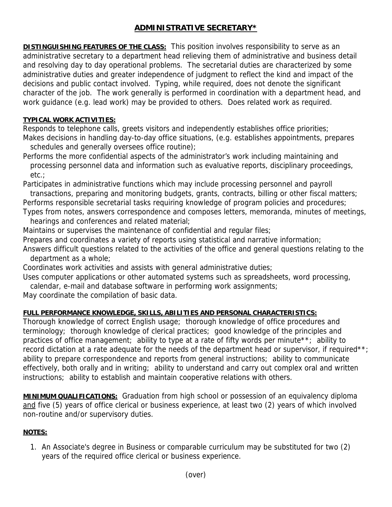## **ADMINISTRATIVE SECRETARY\***

**DISTINGUISHING FEATURES OF THE CLASS:** This position involves responsibility to serve as an administrative secretary to a department head relieving them of administrative and business detail and resolving day to day operational problems. The secretarial duties are characterized by some administrative duties and greater independence of judgment to reflect the kind and impact of the decisions and public contact involved. Typing, while required, does not denote the significant character of the job. The work generally is performed in coordination with a department head, and work guidance (e.g. lead work) may be provided to others. Does related work as required.

## **TYPICAL WORK ACTIVITIES:**

Responds to telephone calls, greets visitors and independently establishes office priorities; Makes decisions in handling day-to-day office situations, (e.g. establishes appointments, prepares schedules and generally oversees office routine);

Performs the more confidential aspects of the administrator's work including maintaining and processing personnel data and information such as evaluative reports, disciplinary proceedings, etc.;

Participates in administrative functions which may include processing personnel and payroll transactions, preparing and monitoring budgets, grants, contracts, billing or other fiscal matters;

Performs responsible secretarial tasks requiring knowledge of program policies and procedures;

Types from notes, answers correspondence and composes letters, memoranda, minutes of meetings, hearings and conferences and related material;

Maintains or supervises the maintenance of confidential and regular files;

Prepares and coordinates a variety of reports using statistical and narrative information;

Answers difficult questions related to the activities of the office and general questions relating to the department as a whole;

Coordinates work activities and assists with general administrative duties;

Uses computer applications or other automated systems such as spreadsheets, word processing,

calendar, e-mail and database software in performing work assignments;

May coordinate the compilation of basic data.

## **FULL PERFORMANCE KNOWLEDGE, SKILLS, ABILITIES AND PERSONAL CHARACTERISTICS:**

Thorough knowledge of correct English usage; thorough knowledge of office procedures and terminology; thorough knowledge of clerical practices; good knowledge of the principles and practices of office management; ability to type at a rate of fifty words per minute\*\*; ability to record dictation at a rate adequate for the needs of the department head or supervisor, if required\*\*; ability to prepare correspondence and reports from general instructions; ability to communicate effectively, both orally and in writing; ability to understand and carry out complex oral and written instructions; ability to establish and maintain cooperative relations with others.

**MINIMUM QUALIFICATIONS:** Graduation from high school or possession of an equivalency diploma and five (5) years of office clerical or business experience, at least two (2) years of which involved non-routine and/or supervisory duties.

## **NOTES:**

1. An Associate's degree in Business or comparable curriculum may be substituted for two (2) years of the required office clerical or business experience.